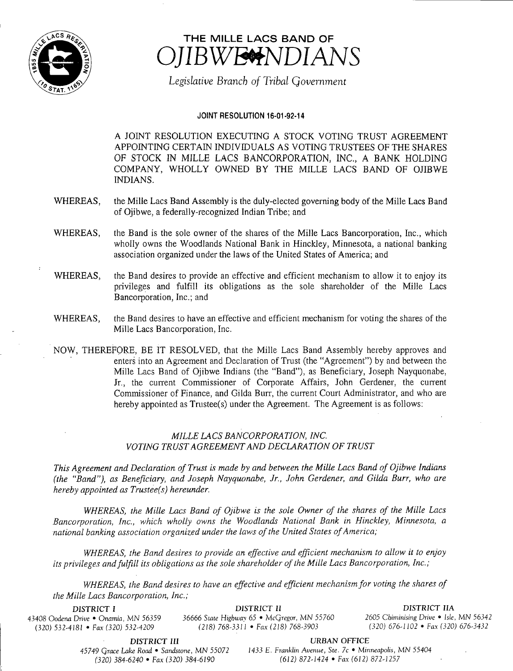

# THE MILLE LACS BAND OF BWESNDIANS

Legislative Branch of Tribal Government

# JOINT RESOLUTION 16-01-92-14

A JOINT RESOLUTION EXECUTING A STOCK VOTING TRUST AGREEMENT APPOINTING CERTAIN INDIVIDUALS AS VOTING TRUSTEES OF THE SHARES OF STOCK IN MILLE LACS BANCORPORATION, INC., A BANK HOLDING COMPANY, WHOLLY OWNED BY THE MILLE LACS BAND OF OJIBWE INDIANS.

- WHEREAS, the Mille Lacs Band Assembly is the duly-elected governing body of the Mille Lacs Band of Ojibwe, a federally-recognized Indian Tribe; and
- WHEREAS, the Band is the sole owner of the shares of the Mille Lacs Bancorporation, Inc., which wholly owns the Woodlands National Bank in Hinckley, Minnesota, a national banking association organized under the laws of the United States of America; and
- WHEREAS, the Band desires to provide an effective and efficient mechanism to allow it to enjoy its privileges and fulfill its obligations as the sole shareholder of the Mille Lacs Bancorporation, Inc.; and
- WHEREAS, the Band desires to have an effective and efficient mechanism for voting the shares of the Mille Lacs Bancorporation, Inc.
- NOW, THEREFORE, BE IT RESOLVED, that the Mille Lacs Band Assembly hereby approves and enters into an Agreement and Declaration of Trust (the "Agreement") by and between the Mille Lacs Band of Ojibwe Indians ( the " Band"), as Beneficiary, Joseph Nayquonabe, Jr., the current Commissioner of Corporate Affairs, John Gerdener, the current Commissioner of Finance, and Gilda Burr, the current Court Administrator, and who are hereby appointed as Trustee(s) under the Agreement. The Agreement is as follows:

# MILLE LACS BANCORPORATION, INC. VOTING TRUST AGREEMENT AND DECLARATION OF TRUST

This Agreement and Declaration of Trust is made by and between the Mille Lacs Band of Ojibwe Indians the " Band"), as Beneficiary, and Joseph Nayquonabe, Jr., John Gerdener, and Gilda Burr, who are hereby appointed as Trustee(s) hereunder.

WHEREAS, the Mille Lacs Band of Ojibwe is the sole Owner of the shares of the Mille Lacs Bancorporation, Inc., which wholly owns the Woodlands National Bank in Hinckley, Minnesota, a national banking association organized under the laws of the United States of America;

WHEREAS, the Band desires to provide an effective and efficient mechanism to allow it to enjoy its privileges and fulfill its obligations as the sole shareholder of the Mille Lacs Bancorporation, Inc.;

WHEREAS, the Band desires to have an effective and efficient mechanism for voting the shares of the Mille Lacs Bancorporation, Inc.;

(320) 532-4181 • Fax (320) 532-4209 (218) 768-3311 • Fax (218) 768-3903

DISTRICT <sup>I</sup> DISTRICT II DISTRICT IIA 43408 Oodena Drive • Onamia, MN 56359 36666 State Highway 65 • McGregor, MN 55760 <sup>2605</sup> Chiminising Drive • Isle, MN 56342

DISTRICT III URBAN OFFICE

45749 Grace Lake Road • Sandstone, MN 55072 1433 E. Franklin Avenue, Ste. 7c • Minneapolis, MN 55404 320) 384- 6240 • Fax( 320) 384- 6190 612) 872- 1424 • Fax( 612) 872- 1257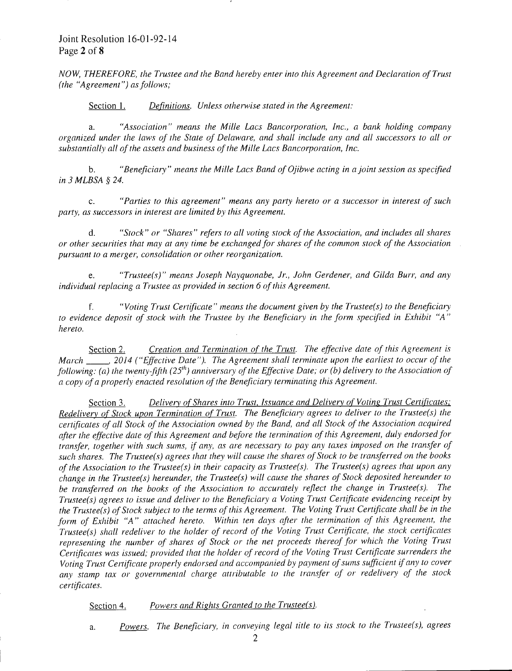# Joint Resolution 16-01-92-14 Page 2 of 8

NOW, THEREFORE, the Trustee and the Band hereby enter into this Agreement and Declaration of Trust  $(the "Agreement") as follows;$ 

Section 1. Definitions. Unless otherwise stated in the Agreement:

a. Association" means the Mille Lacs Bancorporation, Inc., <sup>a</sup> bank holding company organized under the laws of the State of Delaware, and shall include any and all successors to all or substantially all of the assets and business of the Mille Lacs Bancorporation, Inc.

b. "Beneficiary" means the Mille Lacs Band of Ojibwe acting in a joint session as specified in.3 MLBSA § 24.

c. Parties to this agreement" means any party hereto or <sup>a</sup> successor in interest of such party, as successors in interest are limited by this Agreement.

d. "Stock" or " Shares" refers to all voting stock of the Association, and includes all shares or other securities that may at any time be exchanged for shares of the common stock of the Association . pursuant to a merger, consolidation or other reorganization.

e. "Trustee(s)" means Joseph Nayquonabe, Jr., John Gerdener, and Gilda Burr, and any individual replacing a Trustee as provided in section 6 of this Agreement.

f.  $\dot{v}$  "Voting Trust Certificate" means the document given by the Trustee(s) to the Beneficiary to evidence deposit of stock with the Trustee by the Beneficiary in the form specified in Exhibit " A" hereto.

Section 2. Creation and Termination of the Trust. The effective date of this Agreement is March  $\qquad$ , 2014 ("Effective Date"). The Agreement shall terminate upon the earliest to occur of the following: (a) the twenty-fifth ( $25<sup>th</sup>$ ) anniversary of the Effective Date; or (b) delivery to the Association of a copy of a properly enacted resolution of the Beneficiary terminating this Agreement.

Section 3. Delivery of Shares into Trust, Issuance and Delivery of Voting Trust Certificates; Redelivery of Stock upon Termination of Trust. The Beneficiary agrees to deliver to the Trustee(s) the certificates of all Stock of the Association owned by the Band, and all Stock of the Association acquired after the effective date of this Agreement and before the termination of this Agreement, duly endorsed for transfer, together with such sums, if any, as are necessary to pay any taxes imposed on the transfer of such shares. The Trustee(s) agrees that they will cause the shares of Stock to be transferred on the books of the Association to the Trustee(s) in their capacity as Trustee(s). The Trustee(s) agrees that upon any change in the Trustee(s) hereunder, the Trustee(s) will cause the shares of Stock deposited hereunder to be transferred on the books of the Association to accurately reflect the change in Trustee(s). The Trustee(s) agrees to issue and deliver to the Beneficiary a Voting Trust Certificate evidencing receipt by the Trustee( $\overline{s}$ ) of Stock subject to the terms of this Agreement. The Voting Trust Certificate shall be in the form of Exhibit "A" attached hereto. Within ten days after the termination of this Agreement, the Trustee(s) shall redeliver to the holder of record of the Voting Trust Certificate, the stock certificates representing the number of shares of Stock or the net proceeds thereof for which the Voting Trust Certificates was issued; provided that the holder of record of the Voting Trust Certificate surrenders the Voting Trust Certificate properly endorsed and accompanied by payment of sums sufficient if any to cover any stamp tax or governmental charge attributable to the transfer of or redelivery of the stock certificates.

Section 4. Powers and Rights Granted to the Trustee(s).

a. Powers. The Beneficiary, in conveying legal title to its stock to the Trustee(s), agrees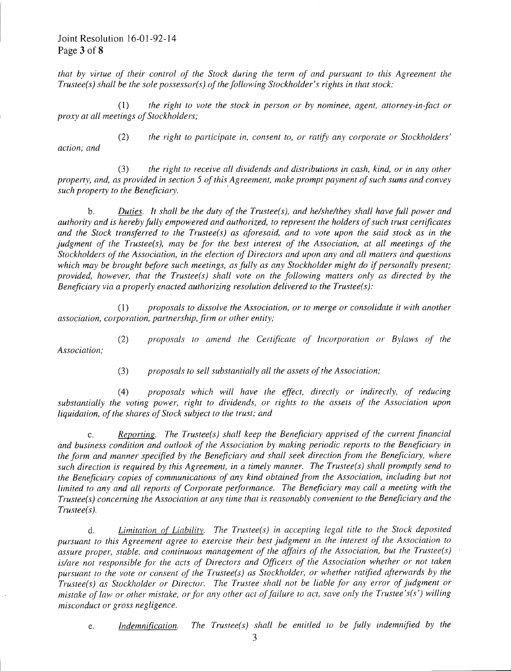Joint Resolution 16-01-92-14 Page 3 of 8

that by virtue of their control of the Stock during the term of and pursuant to this Agreement the Trustee(s) shall be the sole possessor(s) of the following Stockholder's rights in that stock:

 $1)$  the right to vote the stock in person or by nominee, agent, attorney-in-fact or proxy at all meetings of Stockholders;

2) the right to participate in, consent to, or ratify any corporate or Stockholders' action: and

3) the right to receive all dividends and distributions in cash, kind, or in any other property, and, as provided in section 5 of this Agreement, make prompt payment of such sums and convey such property to the Beneficiary.

b. Duties. It shall be the duty of the Trustee(s), and he/she/they shall have full power and authority and is hereby fully empowered and authorized, to represent the holders ofsuch trust certificates and the Stock transferred to the Trustee(s) as aforesaid, and to vote upon the said stock as in the judgment of the Trustee(s), may be for the best interest of the Association, at all meetings of the Stockholders of the Association, in the election of Directors and upon any and all matters and questions which may be brought before such meetings, as fully as any Stockholder might do if personally present; provided, however, that the Trustee(s) shall vote on the following matters only as directed by the Beneficiary via a properly enacted authorizing resolution delivered to the Trustee(s):

1) proposals to dissolve the Association, or to merge or consolidate it with another association, corporation, partnership, firm or other entity;

Association;

2) proposals to amend the Certificate of Incorporation or Bylaws of the

3) proposals to sell substantially all the assets of the Association;

4) proposals which. will have the effect, directly or indirectly, of reducing substantially the voting power, right to dividends, or rights to the assets of the Association upon liquidation, of the shares of Stock subject to the trust; and

c. Reporting. The Trustee(s) shall keep the Beneficiary apprised of the current financial and business condition. and outlook of the Association by making periodic reports to the Beneficiary in. the form and manner specified by the Beneficiary and shall seek direction from the Beneficiary, where such direction is required by this Agreement, in a timely manner. The Trustee(s) shall promptly send to the Beneficiary copies of communications of any kind obtained from the Association, including but not limited to any and all reports of Corporate performance. The Beneficiary may call <sup>a</sup> meeting with the Trustee( s) concerning the Association at any time that is reasonably convenient to the Beneficiary and the  $Trustee(s)$ .

d. Limitation of Liability. The Trustee(s) in accepting legal title to the Stock deposited pursuant to this Agreement agree to exercise their best judgment in the interest of the Association to assure proper, stable, and continuous management of the affairs of the Association, but the Trustee(s) is/are not responsible for the acts of Directors and Officers of the Association whether or not taken. pursuant to the vote or consent of the Trustee(s) as Stockholder, or whether ratified afterwards by the Trustee(s) as Stockholder or Director. The Trustee shall not be liable for any error of judgment or mistake of law or other mistake, or for any other act of failure to act, save only the Trustee's(s') willing misconduct or gross negligence.

e. Indemnification. The Trustee(s) shall be entitled to be fully indemnified by the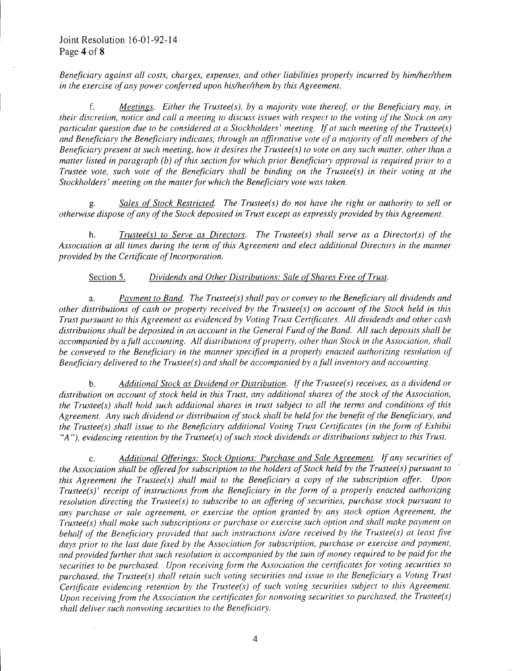Beneficiary against all costs, charges, expenses, and other liabilities properly incurred by him/her/them in the exercise of any power conferred upon his/her/ them by this Agreement.

f. Meetings. Either the Trustee(s), by a majority vote thereof, or the Beneficiary may, in. their discretion, notice and call <sup>a</sup> meeting to discuss issues with respect to the voting of the Stock on any particular question due to be considered at a Stockholders' meeting. If at such meeting of the Trustee(s) and Beneficiary the Beneficiary indicates, through an affirmative vote of <sup>a</sup> majority of all members of the Beneficiary present at such meeting, how it desires the Trustee(s) to vote on any such matter, other than a matter listed in paragraph (b) of this section for which prior Beneficiary approval is required prior to <sup>a</sup> Trustee vote, such vote of the Beneficiary shall be binding on the Trustee(s) in their voting at the Stockholders' meeting on the matter for which the Beneficiary vote was taken.

g. Sales of Stock Restricted. The Trustee(s) do not have the right or authority to sell or otherwise dispose of any of the Stock deposited in Trust except as expressly provided by this Agreement.

h. Trustee( $s$ ) to Serve as Directors. The Trustee(s) shall serve as a Director(s) of the Association at all times during the term of this Agreement and elect additional Directors in the manner provided by the Certificate of Incorporation.

## Section 5. Dividends and Other Distributions: Sale of Shares Free of Trust.

a. Payment to Band. The Trustee(s) shall pay or convey to the Beneficiary all dividends and other distributions of cash. or property received by the Trustee( s) on account of the Stock held in this Trust pursuant to this Agreement as evidenced by Voting Trust Certificates. All dividends and other cash distributions shall be deposited in an account in the General Fund of the Band. All such deposits shall be accompanied by a full accounting. All distributions of property, other than Stock in the Association, shall be conveyed to the Beneficiary in the manner specified in a properly enacted authorizing resolution of Beneficiary delivered to the Trustee(s) and shall be accompanied by a full inventory and accounting.

b. Additional Stock as Dividend or Distribution. If the Trustee(s) receives, as a dividend or distribution on account of stock held in this Trust, any additional shares of the stock of the Association, the Trustee(s) shall hold such additional shares in trust subject to all the terms and conditions of this Agreement. Any such dividend or distribution of stock shall be held for the benefit of the Beneficiary, and the Trustee(s) shall issue to the Beneficiary additional Voting Trust Certificates (in the form of Exhibit "A"), evidencing retention by the Trustee(s) of such stock dividends or distributions subject to this Trust.

c. Additional Offerings: Stock Options: Purchase and Sale Agreement. If any securities of the Association shall be offered for subscription to the holders of Stock held by the Trustee( $s$ ) pursuant to this Agreement the Trustee(s) shall mail to the Beneficiary a copy of the subscription offer. Upon. Trustee(s)' receipt of instructions from the Beneficiary in the form of a properly enacted authorizing resolution directing the Trustee(s) to subscribe to an offering of securities, purchase stock pursuant to any purchase or sale agreement, or exercise the option granted by any stock option. Agreement, the Trustee( s) shall make such subscriptions or purchase or exercise such option and shall make payment on behalf of the Beneficiary provided that such instructions is/ are received by the Trustee(s) at least five days prior to the last date fixed by the Association for subscription, purchase or exercise and payment, and provided further that such resolution is accompanied by the sum of money required to be paid for the securities to be purchased. Upon receiving form the Association the certificates for voting securities so purchased, the Trustee(s) shall retain such voting securities and issue to the Beneficiary a Voting Trust Certificate evidencing retention by the Trustee(s) of such voting securities subject to this Agreement. Upon receiving from the Association the certificates for nonvoting securities so purchased, the Trustee(s) shall deliver such nonvoting securities to the Beneficiary.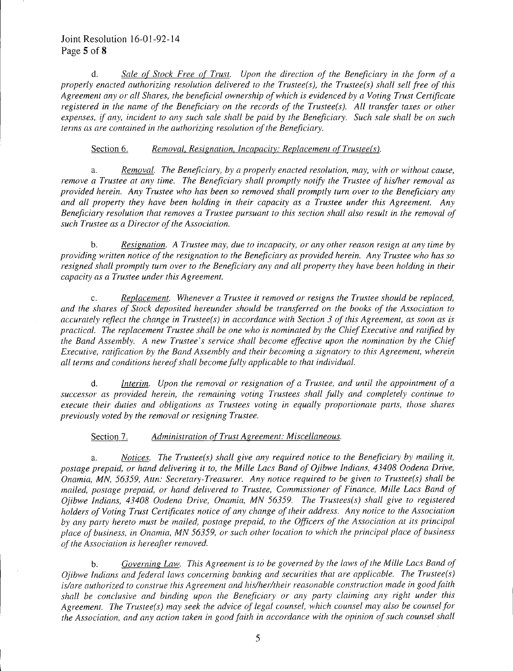# Joint Resolution 16-01-92-14 Page <sup>5</sup> of 8

d. Sale of Stock Free of Trust. Upon the direction of the Beneficiary in the form of a properly enacted authorizing resolution delivered to the Trustee(s), the Trustee(s) shall sell free of this Agreement any or all Shares, the beneficial ownership of which is evidenced by a Voting Trust Certificate registered in the name of the Beneficiary on the records of the Trustee(s). All transfer taxes or other expenses, if any, incident to any such sale shall be paid by the Beneficiary. Such sale shall be on such terms as are contained in the authorizing resolution of the Beneficiary.

## Section 6. Removal, Resignation, Incapacity: Replacement of Trustee(s).

a. Removal. The Beneficiary, by a properly enacted resolution, may, with or without cause, remove <sup>a</sup> Trustee at any time. The Beneficiary shall promptly notify the Trustee of his/her removal as provided herein. Any Trustee who has been so removed shall promptly turn over to the Beneficiary any and all property they have been holding in their capacity as <sup>a</sup> Trustee under this Agreement. Any Beneficiary resolution that removes a Trustee pursuant to this section shall also result in the removal of such Trustee as a Director of the Association.

b. Resignation. A Trustee may, due to incapacity, or any other reason resign at any time by providing written. notice of the resignation to the Beneficiary as provided herein. Any Trustee who has so resigned shall promptly turn over to the Beneficiary any and all property they have been holding in their capacity as a Trustee under this Agreement.

c. Replacement. Whenever a Trustee it removed or resigns the Trustee should be replaced, and the shares of Stock deposited hereunder should be transferred on the books of the Association to accurately reflect the change in Trustee(s) in accordance with Section 3 of this Agreement, as soon as is practical. The replacement Trustee shall be one who is nominated by the Chief Executive and ratified by the Band Assembly. A new Trustee's service shall become effective upon the nomination by the Chief Executive, ratification by the Band Assembly and their becoming a signatory to this Agreement, wherein all terms and conditions hereof shall become fully applicable to that individual.

d. Interim. Upon the removal or resignation of <sup>a</sup> Trustee, and until the appointment of <sup>a</sup> successor as provided herein, the remaining voting Trustees shall fully and completely continue to execute their duties and obligations as Trustees voting in equally proportionate parts, those shares previously voted by the removal or resigning Trustee.

Section 7. Administration of Trust Agreement: Miscellaneous.

a. Notices. The Trustee(s) shall give any required notice to the Beneficiary by mailing it, postage prepaid, or hand delivering it to, the Mille Lacs Band of Ojibwe Indians, 43408 Oodena Drive, Onamia, MN, 56359, Attn: Secretary-Treasurer. Any notice required to be given to Trustee(s) shall be mailed, postage prepaid, or hand delivered to Trustee, Commissioner of Finance, Mille Lacs Band of Ojibwe Indians, 43408 Oodena Drive, Onamia, MN 56359. The Trustees(s) shall give to registered holders of Voting Trust Certificates notice of any change of their address. Any notice to the Association by any party hereto must be mailed, postage prepaid, to the Officers of the Association at its principal place of business, in Onamia, MN 56359, or such other location to which the principal place of business of the Association is hereafter removed.

b. Governing Law. This Agreement is to be governed by the laws of the Mille Lacs Band of  $O$ jibwe Indians and federal laws concerning banking and securities that are applicable. The Trustee(s) is/are authorized to construe this Agreement and his/her/their reasonable construction made in good faith shall be conclusive and binding upon the Beneficiary or any party claiming any right under this Agreement. The Trustee(s) may seek the advice of legal counsel, which counsel may also be counsel for the Association, and any action taken in good faith in accordance with the opinion of such counsel shall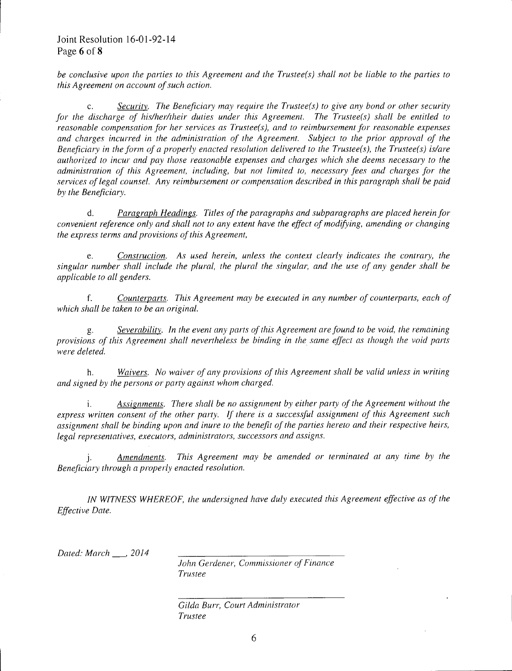be conclusive upon the parties to this Agreement and the Trustee(s) shall not be liable to the parties to this Agreement on account of such action.

c. Security. The Beneficiary may require the Trustee( $s$ ) to give any bond or other security for the discharge of his/her/their duties under this Agreement. The Trustee(s) shall be entitled to reasonable compensation for her services as Trustee(s), and to reimbursement for reasonable expenses and charges incurred in. the administration of the Agreement. Subject to the prior approval of the Beneficiary in the form of a properly enacted resolution delivered to the Trustee(s), the Trustee(s) is/are authorized to incur and pay those reasonable expenses and charges which she deems necessary to the administration of this Agreement, including, but not limited to, necessary fees and charges for the services of legal counsel. Any reimbursement or compensation described in this paragraph shall be paid by the Beneficiary.

d. Paragraph Headings. Titles of the paragraphs and subparagraphs are placed herein for convenient reference only and shall not to any extent have the effect of modifying, amending or changing the express terms and provisions of this Agreement,

e. Construction.. As used herein., unless the context clearly indicates the contrary, the singular number shall include the plural, the plural the singular, and the use of any gender shall be applicable to all genders.

f. Counterparts. This Agreement may be executed in any number of counterparts, each of which shall be taken to be an original.

g. Severability. In the event any parts of this Agreement are found to be void, the remaining provisions of this Agreement shall nevertheless be binding in. the same effect as though the void parts were deleted.

h. Waivers. No waiver of any provisions of this Agreement shall be valid unless in writing and signed by the persons or party against whom charged.

i. Assignments. There shall be no assignment by either party of the Agreement without the express written consent of the other party. If there is a successful assignment of this Agreement such assignment shall be binding upon and inure to the benefit of the parties hereto and their respective heirs, legal representatives, executors, administrators, successors and assigns.

j. **Amendments.** This Agreement may be amended or terminated at any time by the Beneficiary through a properly enacted resolution.

IN WITNESS WHEREOF, the undersigned have duly executed this Agreement effective as of the Effective Date.

Dated: March \_\_\_, 2014

John Gerdener, Commissioner of Finance Trustee

Gilda Burr, Court Administrator Trustee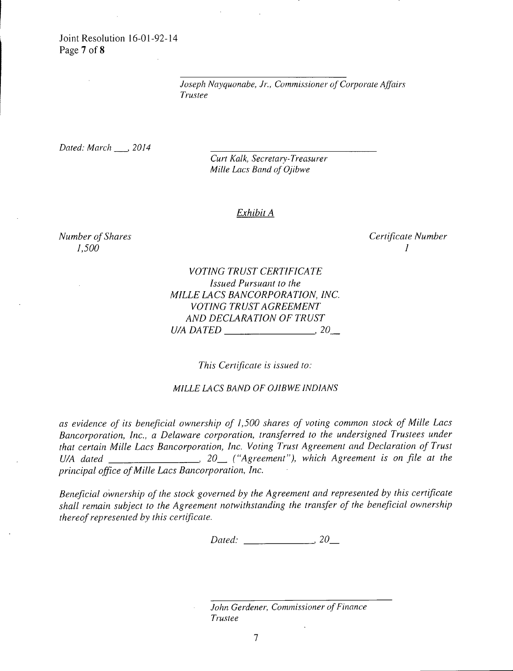Joint Resolution 16-01-92-14 Page 7 of 8

> Joseph.Nayquonabe, Jr., Commissioner of Corporate Affairs Trustee

Dated: March \_\_ 2014

Curt Kalk, Secretary- Treasurer Mille Lacs Band of Ojibwe

#### Exhibit A

 $1,500$  and  $1,500$  and  $1,500$  and  $1,500$  and  $1,500$  and  $1,500$  and  $1,500$  and  $1,500$  and  $1,500$  and  $1,500$  and  $1,500$  and  $1,500$  and  $1,500$  and  $1,500$  and  $1,500$  and  $1,500$  and  $1,500$  and  $1,500$  and  $1,50$ 

Number of Shares<br>
1,500 1

VOTING TRUST CERTIFICATE Issued Pursuant to the MILLE LACS BANCORPORATION, INC. VOTING TRUST AGREEMENT AND DECLARATION OF TRUST U/A DATED  $\qquad \qquad .20$ 

This Certificate is issued to:

### MILLE LACS BAND OF OJIBWE INDIANS

as evidence of its beneficial ownership of 1, 500 shares of voting common stock of Mille Lacs Bancorporation, Inc., a Delaware corporation, transferred to the undersigned Trustees under that certain Mille Lacs Bancorporation, Inc. Voting Trust Agreement and Declaration of Trust U/A dated  $\frac{1}{\sqrt{2}}$  20 ("Agreement"), which Agreement is on file at the principal office of Mille Lacs Bancorporation, Inc.

Beneficial ownership of the stock governed by the Agreement and represented by this certificate shall remain subject to the Agreement notwithstanding the transfer of the beneficial ownership thereof represented by this certificate.

Dated: 20\_

John Gerdener, Commissioner of Finance Trustee